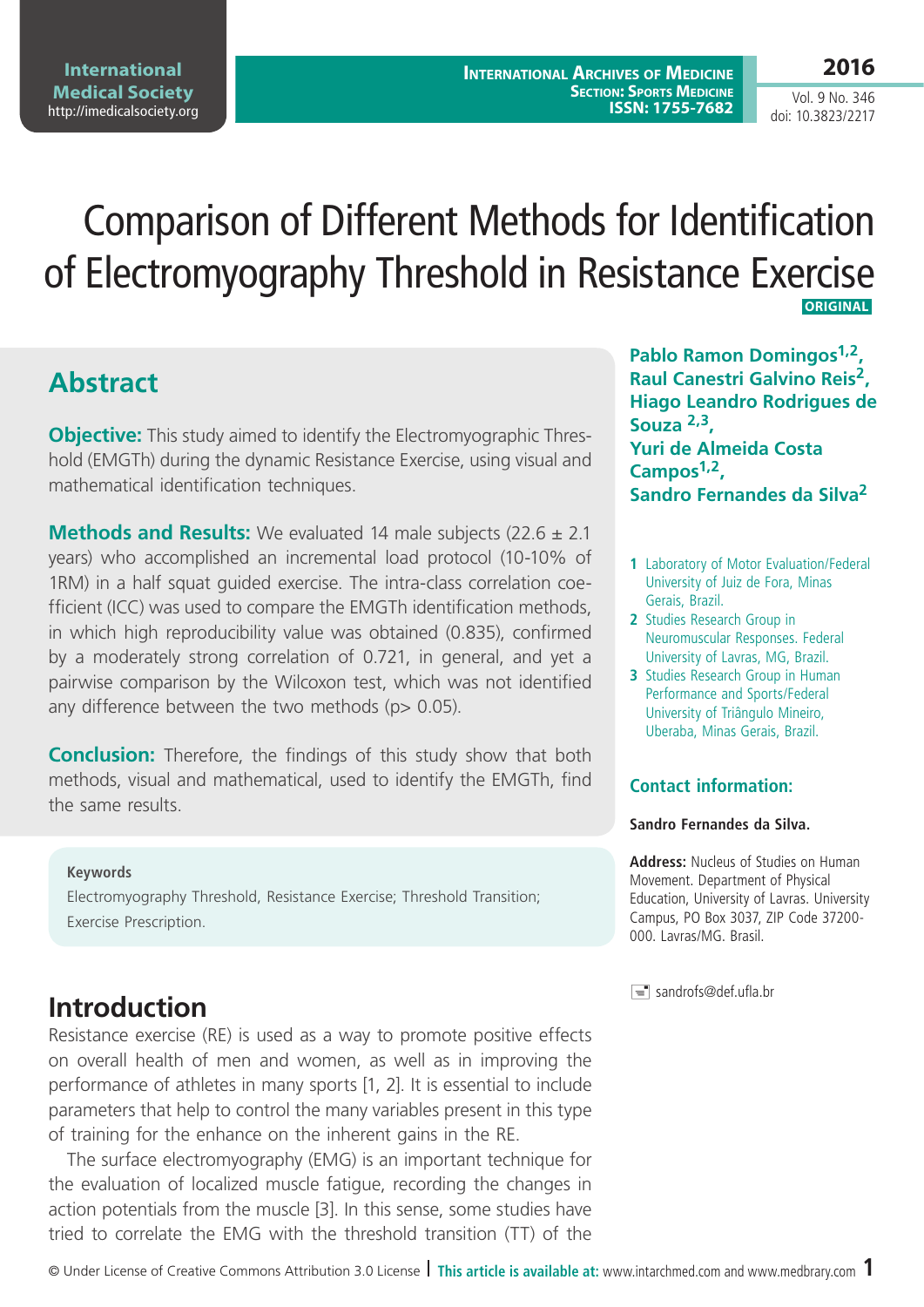**2016**

Vol. 9 No. 346 doi: 10.3823/2217

# Comparison of Different Methods for Identification of Electromyography Threshold in Resistance Exercise  **ORIGINAL**

# **Abstract**

**Objective:** This study aimed to identify the Electromyographic Threshold (EMGTh) during the dynamic Resistance Exercise, using visual and mathematical identification techniques.

**Methods and Results:** We evaluated 14 male subjects (22.6 ± 2.1) years) who accomplished an incremental load protocol (10-10% of 1RM) in a half squat guided exercise. The intra-class correlation coefficient (ICC) was used to compare the EMGTh identification methods, in which high reproducibility value was obtained (0.835), confirmed by a moderately strong correlation of 0.721, in general, and yet a pairwise comparison by the Wilcoxon test, which was not identified any difference between the two methods ( $p > 0.05$ ).

**Conclusion:** Therefore, the findings of this study show that both methods, visual and mathematical, used to identify the EMGTh, find the same results.

#### **Keywords**

Electromyography Threshold, Resistance Exercise; Threshold Transition; Exercise Prescription.

### **Introduction**

Resistance exercise (RE) is used as a way to promote positive effects on overall health of men and women, as well as in improving the performance of athletes in many sports [1, 2]. It is essential to include parameters that help to control the many variables present in this type of training for the enhance on the inherent gains in the RE.

The surface electromyography (EMG) is an important technique for the evaluation of localized muscle fatigue, recording the changes in action potentials from the muscle [3]. In this sense, some studies have tried to correlate the EMG with the threshold transition (TT) of the

Pablo Ramon Domingos<sup>1,2</sup>, **Raul Canestri Galvino Reis2, Hiago Leandro Rodrigues de Souza 2,3, Yuri de Almeida Costa Campos1,2, Sandro Fernandes da Silva2**

- **1** Laboratory of Motor Evaluation/Federal University of Juiz de Fora, Minas Gerais, Brazil.
- **2** Studies Research Group in Neuromuscular Responses. Federal University of Lavras, MG, Brazil.
- **3** Studies Research Group in Human Performance and Sports/Federal University of Triângulo Mineiro, Uberaba, Minas Gerais, Brazil.

### **Contact information:**

#### **Sandro Fernandes da Silva.**

**Address:** Nucleus of Studies on Human Movement. Department of Physical Education, University of Lavras. University Campus, PO Box 3037, ZIP Code 37200- 000. Lavras/MG. Brasil.

sandrofs@def.ufla.br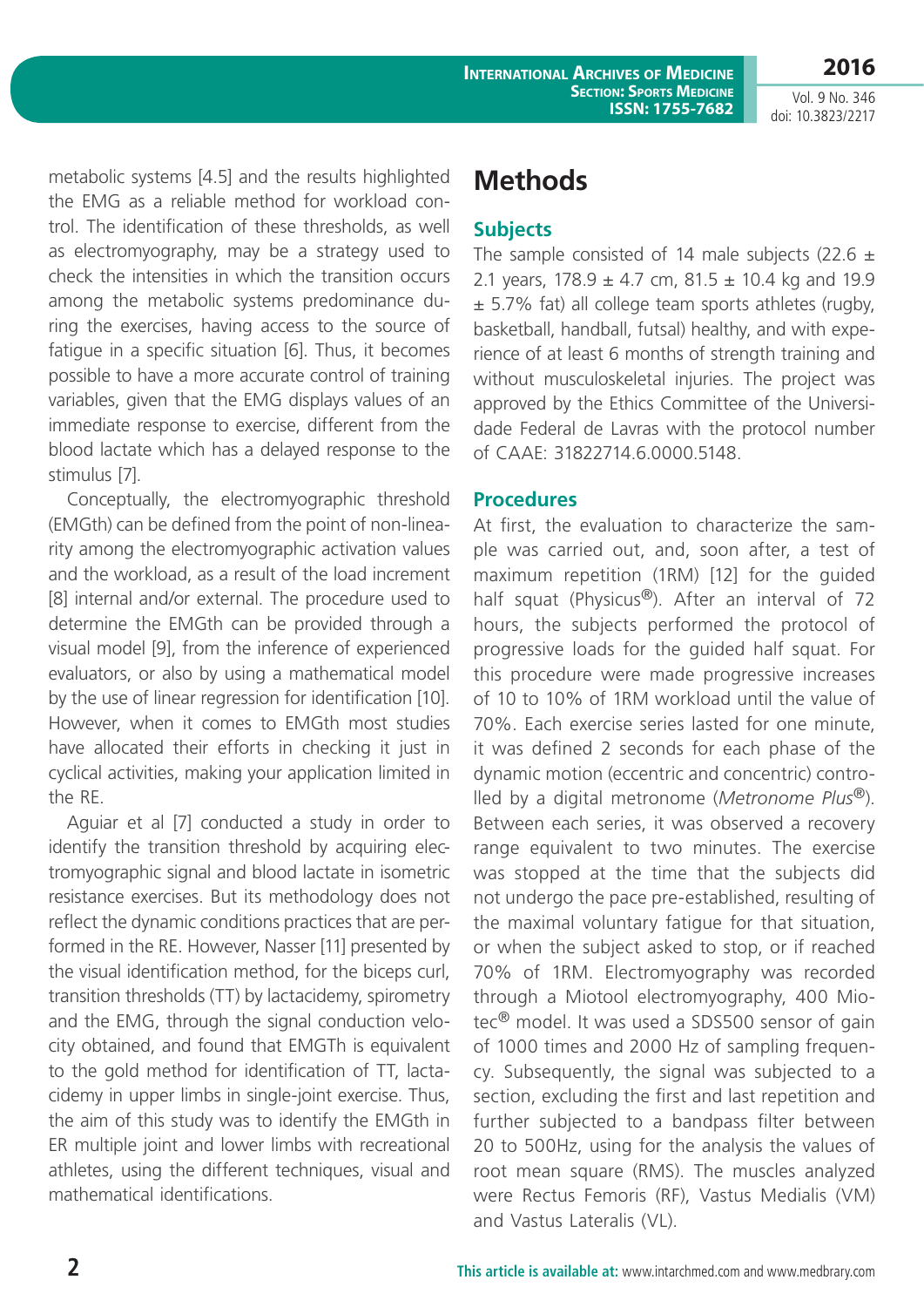Vol. 9 No. 346 doi: 10.3823/2217

**2016**

metabolic systems [4.5] and the results highlighted the EMG as a reliable method for workload control. The identification of these thresholds, as well as electromyography, may be a strategy used to check the intensities in which the transition occurs among the metabolic systems predominance during the exercises, having access to the source of fatigue in a specific situation [6]. Thus, it becomes possible to have a more accurate control of training variables, given that the EMG displays values of an immediate response to exercise, different from the blood lactate which has a delayed response to the stimulus [7].

Conceptually, the electromyographic threshold (EMGth) can be defined from the point of non-linearity among the electromyographic activation values and the workload, as a result of the load increment [8] internal and/or external. The procedure used to determine the EMGth can be provided through a visual model [9], from the inference of experienced evaluators, or also by using a mathematical model by the use of linear regression for identification [10]. However, when it comes to EMGth most studies have allocated their efforts in checking it just in cyclical activities, making your application limited in the RE.

Aguiar et al [7] conducted a study in order to identify the transition threshold by acquiring electromyographic signal and blood lactate in isometric resistance exercises. But its methodology does not reflect the dynamic conditions practices that are performed in the RE. However, Nasser [11] presented by the visual identification method, for the biceps curl, transition thresholds (TT) by lactacidemy, spirometry and the EMG, through the signal conduction velocity obtained, and found that EMGTh is equivalent to the gold method for identification of TT, lactacidemy in upper limbs in single-joint exercise. Thus, the aim of this study was to identify the EMGth in ER multiple joint and lower limbs with recreational athletes, using the different techniques, visual and mathematical identifications.

## **Methods**

### **Subjects**

The sample consisted of 14 male subjects (22.6  $\pm$ 2.1 years,  $178.9 \pm 4.7$  cm,  $81.5 \pm 10.4$  kg and  $19.9$ ± 5.7% fat) all college team sports athletes (rugby, basketball, handball, futsal) healthy, and with experience of at least 6 months of strength training and without musculoskeletal injuries. The project was approved by the Ethics Committee of the Universidade Federal de Lavras with the protocol number of CAAE: 31822714.6.0000.5148.

#### **Procedures**

At first, the evaluation to characterize the sample was carried out, and, soon after, a test of maximum repetition (1RM) [12] for the guided half squat (Physicus®). After an interval of 72 hours, the subjects performed the protocol of progressive loads for the guided half squat. For this procedure were made progressive increases of 10 to 10% of 1RM workload until the value of 70%. Each exercise series lasted for one minute, it was defined 2 seconds for each phase of the dynamic motion (eccentric and concentric) controlled by a digital metronome (*Metronome Plus*®). Between each series, it was observed a recovery range equivalent to two minutes. The exercise was stopped at the time that the subjects did not undergo the pace pre-established, resulting of the maximal voluntary fatigue for that situation, or when the subject asked to stop, or if reached 70% of 1RM. Electromyography was recorded through a Miotool electromyography, 400 Miotec® model. It was used a SDS500 sensor of gain of 1000 times and 2000 Hz of sampling frequency. Subsequently, the signal was subjected to a section, excluding the first and last repetition and further subjected to a bandpass filter between 20 to 500Hz, using for the analysis the values of root mean square (RMS). The muscles analyzed were Rectus Femoris (RF), Vastus Medialis (VM) and Vastus Lateralis (VL).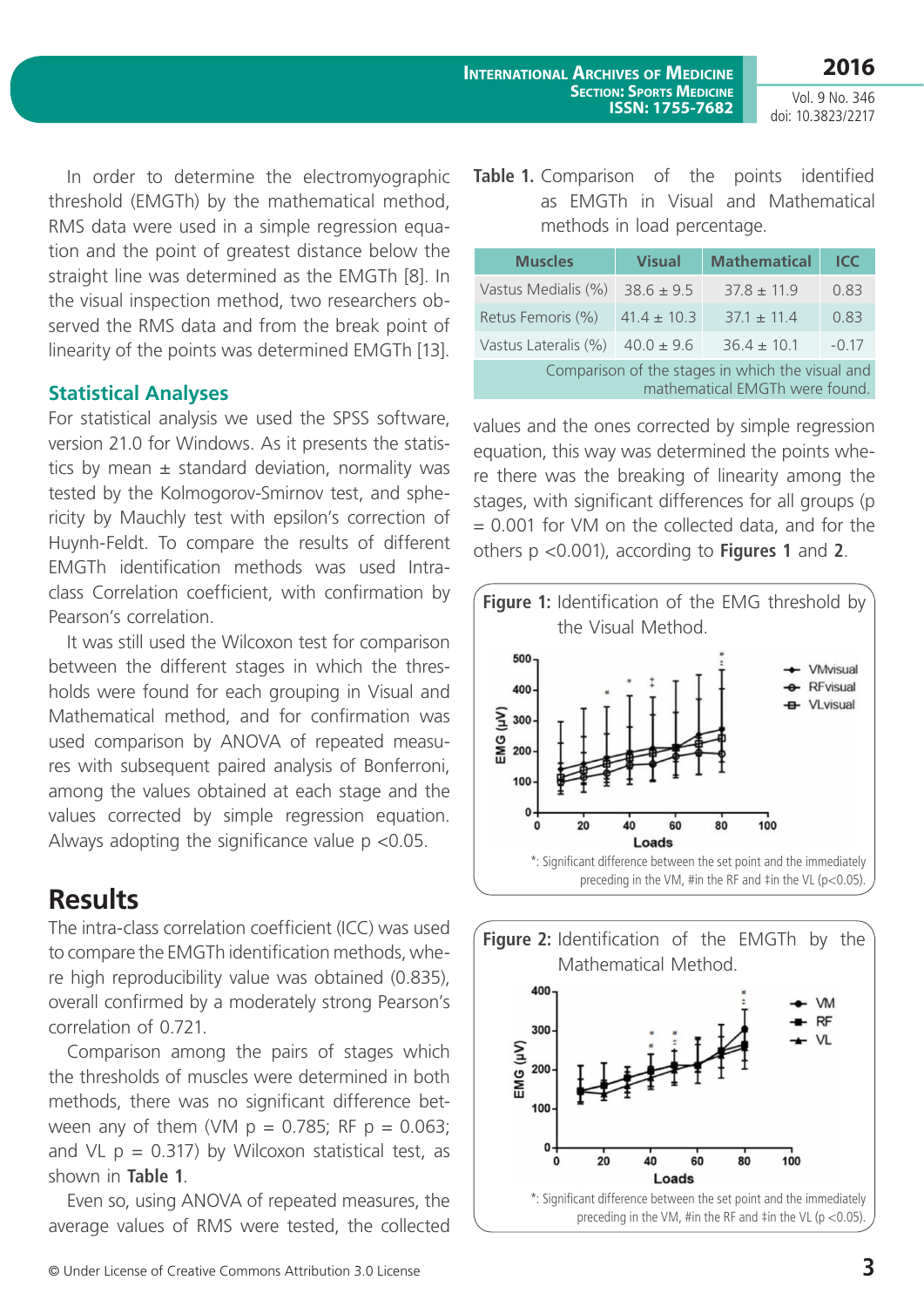Vol. 9 No. 346 doi: 10.3823/2217

In order to determine the electromyographic threshold (EMGTh) by the mathematical method, RMS data were used in a simple regression equation and the point of greatest distance below the straight line was determined as the EMGTh [8]. In the visual inspection method, two researchers observed the RMS data and from the break point of linearity of the points was determined EMGTh [13].

#### **Statistical Analyses**

For statistical analysis we used the SPSS software, version 21.0 for Windows. As it presents the statistics by mean  $\pm$  standard deviation, normality was tested by the Kolmogorov-Smirnov test, and sphericity by Mauchly test with epsilon's correction of Huynh-Feldt. To compare the results of different EMGTh identification methods was used Intraclass Correlation coefficient, with confirmation by Pearson's correlation.

It was still used the Wilcoxon test for comparison between the different stages in which the thresholds were found for each grouping in Visual and Mathematical method, and for confirmation was used comparison by ANOVA of repeated measures with subsequent paired analysis of Bonferroni, among the values obtained at each stage and the values corrected by simple regression equation. Always adopting the significance value p <0.05.

### **Results**

The intra-class correlation coefficient (ICC) was used to compare the EMGTh identification methods, where high reproducibility value was obtained (0.835), overall confirmed by a moderately strong Pearson's correlation of 0.721.

Comparison among the pairs of stages which the thresholds of muscles were determined in both methods, there was no significant difference between any of them (VM  $p = 0.785$ ; RF  $p = 0.063$ ; and VL  $p = 0.317$ ) by Wilcoxon statistical test, as shown in **Table 1**.

Even so, using ANOVA of repeated measures, the average values of RMS were tested, the collected **Table 1.** Comparison of the points identified as EMGTh in Visual and Mathematical methods in load percentage.

| <b>Muscles</b>                                                                     | <b>Visual</b>   | <b>Mathematical</b> | <b>ICC</b> |
|------------------------------------------------------------------------------------|-----------------|---------------------|------------|
| Vastus Medialis (%)                                                                | $38.6 \pm 9.5$  | $37.8 + 11.9$       | 0.83       |
| Retus Femoris (%)                                                                  | $41.4 \pm 10.3$ | $37.1 \pm 11.4$     | 0.83       |
| Vastus Lateralis (%)                                                               | $40.0 \pm 9.6$  | $36.4 + 10.1$       | $-0.17$    |
| Comparison of the stages in which the visual and<br>mathematical EMGTh were found. |                 |                     |            |

values and the ones corrected by simple regression equation, this way was determined the points where there was the breaking of linearity among the stages, with significant differences for all groups (p  $= 0.001$  for VM on the collected data, and for the others p <0.001), according to **Figures 1** and **2**.



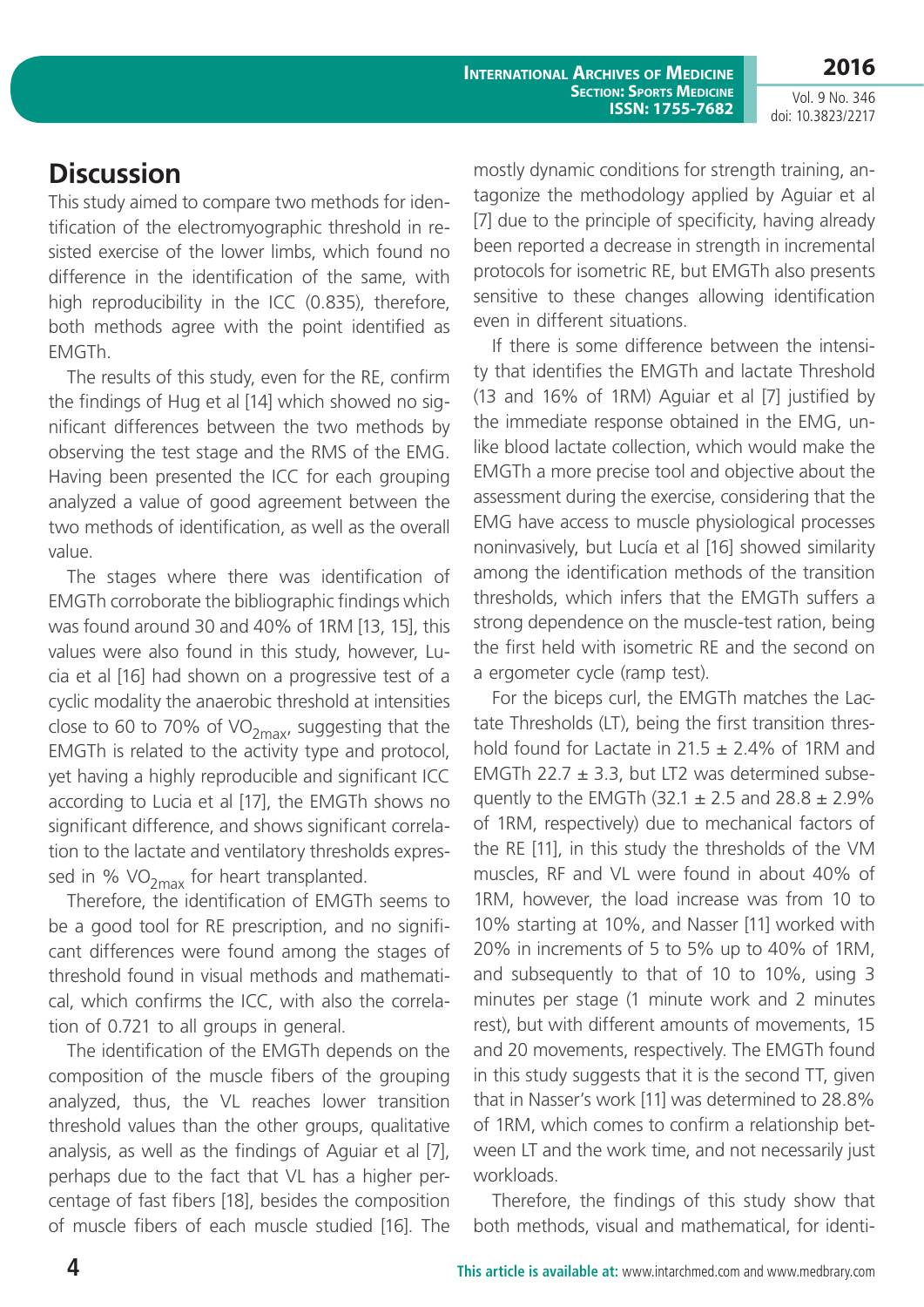**2016**

Vol. 9 No. 346 doi: 10.3823/2217

# **Discussion**

This study aimed to compare two methods for identification of the electromyographic threshold in resisted exercise of the lower limbs, which found no difference in the identification of the same, with high reproducibility in the ICC (0.835), therefore, both methods agree with the point identified as EMGTh.

The results of this study, even for the RE, confirm the findings of Hug et al [14] which showed no significant differences between the two methods by observing the test stage and the RMS of the EMG. Having been presented the ICC for each grouping analyzed a value of good agreement between the two methods of identification, as well as the overall value.

The stages where there was identification of EMGTh corroborate the bibliographic findings which was found around 30 and 40% of 1RM [13, 15], this values were also found in this study, however, Lucia et al [16] had shown on a progressive test of a cyclic modality the anaerobic threshold at intensities close to 60 to 70% of  $VO<sub>2max</sub>$ , suggesting that the EMGTh is related to the activity type and protocol, yet having a highly reproducible and significant ICC according to Lucia et al [17], the EMGTh shows no significant difference, and shows significant correlation to the lactate and ventilatory thresholds expressed in %  $VO<sub>2max</sub>$  for heart transplanted.

Therefore, the identification of EMGTh seems to be a good tool for RE prescription, and no significant differences were found among the stages of threshold found in visual methods and mathematical, which confirms the ICC, with also the correlation of 0.721 to all groups in general.

The identification of the EMGTh depends on the composition of the muscle fibers of the grouping analyzed, thus, the VL reaches lower transition threshold values than the other groups, qualitative analysis, as well as the findings of Aguiar et al [7], perhaps due to the fact that VL has a higher percentage of fast fibers [18], besides the composition of muscle fibers of each muscle studied [16]. The mostly dynamic conditions for strength training, antagonize the methodology applied by Aguiar et al [7] due to the principle of specificity, having already been reported a decrease in strength in incremental protocols for isometric RE, but EMGTh also presents sensitive to these changes allowing identification even in different situations.

If there is some difference between the intensity that identifies the EMGTh and lactate Threshold (13 and 16% of 1RM) Aguiar et al [7] justified by the immediate response obtained in the EMG, unlike blood lactate collection, which would make the EMGTh a more precise tool and objective about the assessment during the exercise, considering that the EMG have access to muscle physiological processes noninvasively, but Lucía et al [16] showed similarity among the identification methods of the transition thresholds, which infers that the EMGTh suffers a strong dependence on the muscle-test ration, being the first held with isometric RE and the second on a ergometer cycle (ramp test).

For the biceps curl, the EMGTh matches the Lactate Thresholds (LT), being the first transition threshold found for Lactate in  $21.5 \pm 2.4\%$  of 1RM and EMGTh 22.7  $\pm$  3.3, but LT2 was determined subsequently to the EMGTh  $(32.1 \pm 2.5 \text{ and } 28.8 \pm 2.9\%)$ of 1RM, respectively) due to mechanical factors of the RE [11], in this study the thresholds of the VM muscles, RF and VL were found in about 40% of 1RM, however, the load increase was from 10 to 10% starting at 10%, and Nasser [11] worked with 20% in increments of 5 to 5% up to 40% of 1RM, and subsequently to that of 10 to 10%, using 3 minutes per stage (1 minute work and 2 minutes rest), but with different amounts of movements, 15 and 20 movements, respectively. The EMGTh found in this study suggests that it is the second TT, given that in Nasser's work [11] was determined to 28.8% of 1RM, which comes to confirm a relationship between LT and the work time, and not necessarily just workloads.

Therefore, the findings of this study show that both methods, visual and mathematical, for identi-